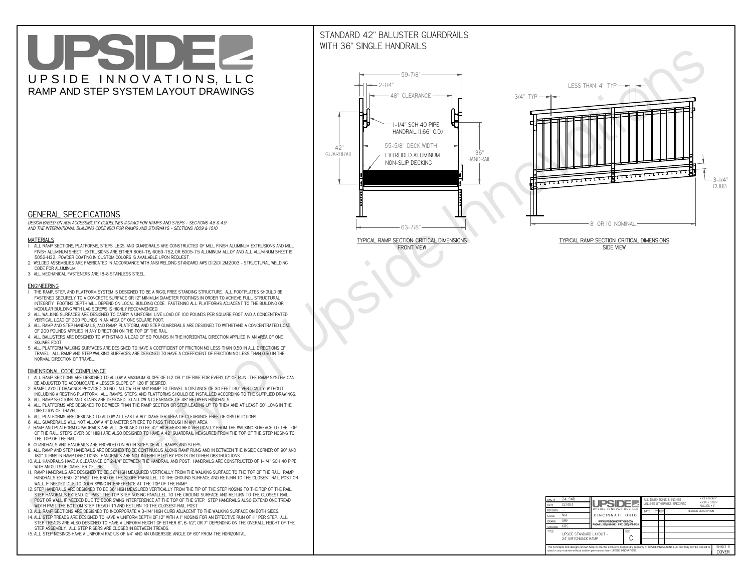# UPSIDEL UPSIDE INNOVATIONS, LLC RAMP AND STEP SYSTEM LAYOUT DRAWINGS

## STANDARD 42" BALUSTER GUARDRAILSWITH 36" SINGLE HANDRAILS

**FRONT VIEW**





**GENERAL SPECIFICATIONS**

 *DESIGN BASED ON ADA ACCESSIBILITY GUIDELINES (ADAAG) FOR RAMPS AND STEPS - SECTIONS 4.8 & 4.9AND THE INTERNATIONAL BUILDING CODE (IBC) FOR RAMPS AND STAIRWAYS - SECTIONS 1009 & 1010*

#### **MATERIALS**

- **1. ALL RAMP SECTIONS, PLATFORMS, STEPS, LEGS, AND GUARDRAILS ARE CONSTRUCTED OF MILL FINISH ALUMINUM EXTRUSIONS AND MILL FINISH ALUMINUM SHEET. EXTRUSIONS ARE EITHER 6061-T6, 6063-T52, OR 6005-T5 ALUMINUM ALLOY AND ALL ALUMINUM SHEET IS 5052-H32. POWDER COATING IN CUSTOM COLORS IS AVAILABLE UPON REQUEST.**
- **2. WELDED ASSEMBLIES ARE FABRICATED IN ACCORDANCE WITH ANSI WELDING STANDARD AWS D1.2/D1.2M:2003 STRUCTURAL WELDING CODE FOR ALUMINUM.**
- **3. ALL MECHANICAL FASTENERS ARE 18-8 STAINLESS STEEL.**

#### **ENGINEERING**

- **1. THE RAMP, STEP, AND PLATFORM SYSTEM IS DESIGNED TO BE A RIGID, FREE STANDING STRUCTURE. ALL FOOTPLATES SHOULD BE FASTENED SECURELY TO A CONCRETE SURFACE OR 12" MINIMUM DIAMETER FOOTINGS IN ORDER TO ACHIEVE FULL STRUCTURAL INTEGRITY. FOOTING DEPTH WILL DEPEND ON LOCAL BUILDING CODE. FASTENING ALL PLATFORMS ADJACENT TO THE BUILDING OR MODULAR BUILDING WITH LAG SCREWS IS HIGHLY RECOMMENDED.**
- **2. ALL WALKING SURFACES ARE DESIGNED TO CARRY A UNIFORM LIVE LOAD OF 100 POUNDS PER SQUARE FOOT AND A CONCENTRATED VERTICAL LOAD OF 300 POUNDS IN AN AREA OF ONE SQUARE FOOT.**
- **3. ALL RAMP AND STEP HANDRAILS, AND RAMP, PLATFORM, AND STEP GUARDRAILS ARE DESIGNED TO WITHSTAND A CONCENTRATED LOAD OF 200 POUNDS APPLIED IN ANY DIRECTION ON THE TOP OF THE RAIL.**
- **4. ALL BALUSTERS ARE DESIGNED TO WITHSTAND A LOAD OF 50 POUNDS IN THE HORIZONTAL DIRECTION APPLIED IN AN AREA OF ONE SQUARE FOOT.**
- **5. ALL PLATFORM WALKING SURFACES ARE DESIGNED TO HAVE A COEFFICIENT OF FRICTION NO LESS THAN 0.50 IN ALL DIRECTIONS OF TRAVEL. ALL RAMP AND STEP WALKING SURFACES ARE DESIGNED TO HAVE A COEFFICIENT OF FRICTION NO LESS THAN 0.50 IN THE NORMAL DIRECTION OF TRAVEL.**

| $DWG.$ #<br>DATE                                                                                                                                                                                            | 24_SWB<br>12/4/14                               | UPSIDEL                                   |             | ALL DIMENSIONS IN INCHES<br>UNI FSS OTHERWISE SPECIFIED |  |               |  | $XXX = 0.060"$<br>$XXX \pm 0.015$ "<br>ANGLES $\pm$ 1° |                  |
|-------------------------------------------------------------------------------------------------------------------------------------------------------------------------------------------------------------|-------------------------------------------------|-------------------------------------------|-------------|---------------------------------------------------------|--|---------------|--|--------------------------------------------------------|------------------|
| <b>REVISION</b>                                                                                                                                                                                             |                                                 | UPSIDE INNOVATIONS LLC                    |             | DATE                                                    |  | <b>BY REV</b> |  | <b>REVISION DESCRIPTION</b>                            |                  |
| <b>SCALE</b>                                                                                                                                                                                                | N/A                                             | CINCINNATI, OHIO                          |             |                                                         |  |               |  |                                                        |                  |
| <b>DRAWN</b>                                                                                                                                                                                                | <b>SRF</b>                                      | WWW.UPSIDEINNOVATIONS.COM                 |             |                                                         |  |               |  |                                                        |                  |
| CHECKED                                                                                                                                                                                                     | <b>KRS</b>                                      | PHONE: (513) 889-2492 FAX: (513) 672-2124 |             |                                                         |  |               |  |                                                        |                  |
| <b>TITLE</b>                                                                                                                                                                                                | UPSIDE STANDARD LAYOUT -<br>24' SWITCHBACK RAMP |                                           | <b>SIZE</b> |                                                         |  |               |  |                                                        |                  |
| The concepts and designs shown here-in are the exclusive proprietary property of UPSIDE INNOVATIONS LLC. and may not be copied or<br>used in any manner without written permission from UPSIDE INNOVATIONS. |                                                 |                                           |             |                                                         |  |               |  |                                                        | SHEET #<br>COVER |

### **DIMENSIONAL CODE COMPLIANCE**

- **1. ALL RAMP SECTIONS ARE DESIGNED TO ALLOW A MAXIMUM SLOPE OF 1:12 OR 1" OF RISE FOR EVERY 12" OF RUN. THE RAMP SYSTEM CAN BE ADJUSTED TO ACCOMODATE A LESSER SLOPE OF 1:20 IF DESIRED.**
- **2. RAMP LAYOUT DRAWINGS PROVIDED DO NOT ALLOW FOR ANY RAMP TO TRAVEL A DISTANCE OF 30 FEET (30" VERTICALLY) WITHOUT INCLUDING A RESTING PLATFORM. ALL RAMPS, STEPS, AND PLATFORMS SHOULD BE INSTALLED ACCORDING TO THE SUPPLIED DRAWINGS.**
- **3. ALL RAMP SECTIONS AND STAIRS ARE DESIGNED TO ALLOW A CLEARANCE OF 48" BETWEEN HANDRAILS.**
- **4. ALL PLATFORMS ARE DESIGNED TO BE WIDER THAN THE RAMP SECTION OR STEP LEADING UP TO THEM AND AT LEAST 60" LONG IN THE DIRECTION OF TRAVEL.**
- **5. ALL PLATFORMS ARE DESIGNED TO ALLOW AT LEAST A 60" DIAMETER AREA OF CLEARANCE FREE OF OBSTRUCTIONS.**
- **6. ALL GUARDRAILS WILL NOT ALLOW A 4" DIAMETER SPHERE TO PASS THROUGH IN ANY AREA.**
- **7. RAMP AND PLATFORM GUARDRAILS ARE ALL DESIGNED TO BE 42" HIGH MEASURED VERTICALLY FROM THE WALKING SURFACE TO THE TOP OF THE RAIL. STEPS OVER 30" HIGH ARE ALSO DESIGNED TO HAVE A 42" GUARDRAIL MEASURED FROM THE TOP OF THE STEP NOSING TO THE TOP OF THE RAIL.**
- **8. GUARDRAILS AND HANDRAILS ARE PROVIDED ON BOTH SIDES OF ALL RAMPS AND STEPS.**
- **9. ALL RAMP AND STEP HANDRAILS ARE DESIGNED TO BE CONTINUOUS ALONG RAMP RUNS AND IN BETWEEN THE INSIDE CORNER OF 90° AND 180° TURNS IN RAMP DIRECTIONS. HANDRAILS ARE NOT INTERRUPTED BY POSTS OR OTHER OBSTRUCTIONS.**
- **10. ALL HANDRAILS HAVE A CLEARANCE OF 2-1/4" BETWEEN THE HANDRAIL AND POST. HANDRAILS ARE CONSTRUCTED OF 1-1/4" SCH 40 PIPE WITH AN OUTSIDE DIAMETER OF 1.66"**
- **11. RAMP HANDRAILS ARE DESIGNED TO BE 36" HIGH MEASURED VERTICALLY FROM THE WALKING SURFACE TO THE TOP OF THE RAIL. RAMP HANDRAILS EXTEND 12" PAST THE END OF THE SLOPE PARALLEL TO THE GROUND SURFACE AND RETURN TO THE CLOSEST RAIL POST OR WALL IF NEEDED DUE TO DOOR SWING INTERFERENCE AT THE TOP OF THE RAMP.**
- **12. STEP HANDRAILS ARE DESIGNED TO BE 36" HIGH MEASURED VERTICALLY FROM THE TIP OF THE STEP NOSING TO THE TOP OF THE RAIL. STEP HANDRAILS EXTEND 12" PAST THE TOP STEP NOSING PARALLEL TO THE GROUND SURFACE AND RETURN TO THE CLOSEST RAIL POST OR WALL IF NEEDED DUE TO DOOR SWING INTERFERENCE AT THE TOP OF THE STEP. STEP HANDRAILS ALSO EXTEND ONE TREAD**
- **WIDTH PAST THE BOTTOM STEP TREAD (11") AND RETURN TO THE CLOSEST RAIL POST.**
- **13. ALL RAMP SECTIONS ARE DESIGNED TO INCORPORATE A 3-1/4" HIGH CURB ADJACENT TO THE WALKING SURFACE ON BOTH SIDES.**
- **14. ALL STEP TREADS ARE DESIGNED TO HAVE A UNIFORM DEPTH OF 12" WITH A 1" NOSING FOR AN EFFECTIVE RUN OF 11" PER STEP. ALL STEP TREADS ARE ALSO DESIGNED TO HAVE A UNIFORM HEIGHT OF EITHER 6", 6-1/2", OR 7" DEPENDING ON THE OVERALL HEIGHT OF THE STEP ASSEMBLY. ALL STEP RISERS ARE CLOSED IN BETWEEN TREADS.**
- **15. ALL STEP NOSINGS HAVE A UNIFORM RADIUS OF 1/4" AND AN UNDERSIDE ANGLE OF 60° FROM THE HORIZONTAL.**